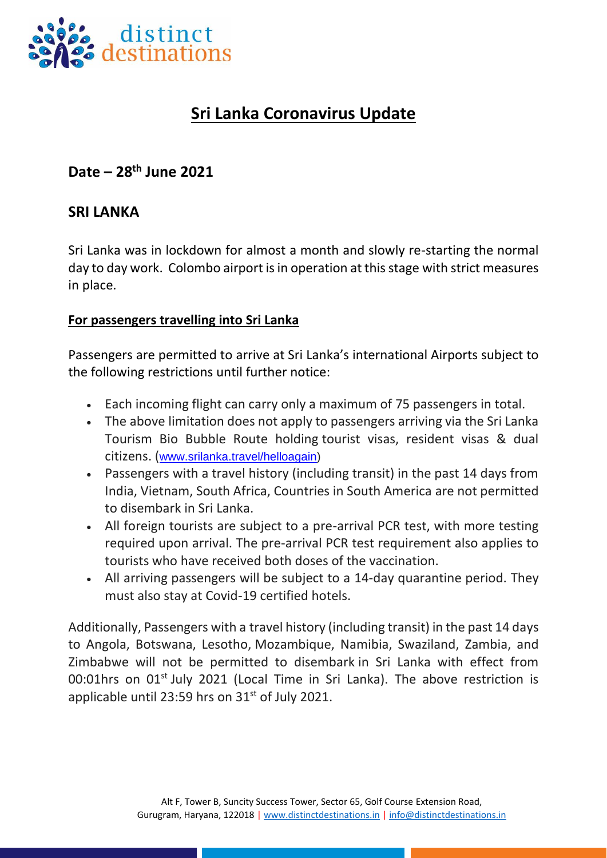

# **Sri Lanka Coronavirus Update**

# **Date – 28 th June 2021**

## **SRI LANKA**

Sri Lanka was in lockdown for almost a month and slowly re-starting the normal day to day work. Colombo airport is in operation at this stage with strict measures in place.

#### **For passengers travelling into Sri Lanka**

Passengers are permitted to arrive at Sri Lanka's international Airports subject to the following restrictions until further notice:

- Each incoming flight can carry only a maximum of 75 passengers in total.
- The above limitation does not apply to passengers arriving via the Sri Lanka Tourism Bio Bubble Route holding tourist visas, resident visas & dual citizens. ([www.srilanka.travel/helloagain\)](http://www.srilanka.travel/helloagain)
- Passengers with a travel history (including transit) in the past 14 days from India, Vietnam, South Africa, Countries in South America are not permitted to disembark in Sri Lanka.
- All foreign tourists are subject to a pre-arrival PCR test, with more testing required upon arrival. The pre-arrival PCR test requirement also applies to tourists who have received both doses of the vaccination.
- All arriving passengers will be subject to a 14-day quarantine period. They must also stay at Covid-19 certified hotels.

Additionally, Passengers with a travel history (including transit) in the past 14 days to Angola, Botswana, Lesotho, Mozambique, Namibia, Swaziland, Zambia, and Zimbabwe will not be permitted to disembark in Sri Lanka with effect from 00:01hrs on 01<sup>st</sup> July 2021 (Local Time in Sri Lanka). The above restriction is applicable until 23:59 hrs on  $31<sup>st</sup>$  of July 2021.